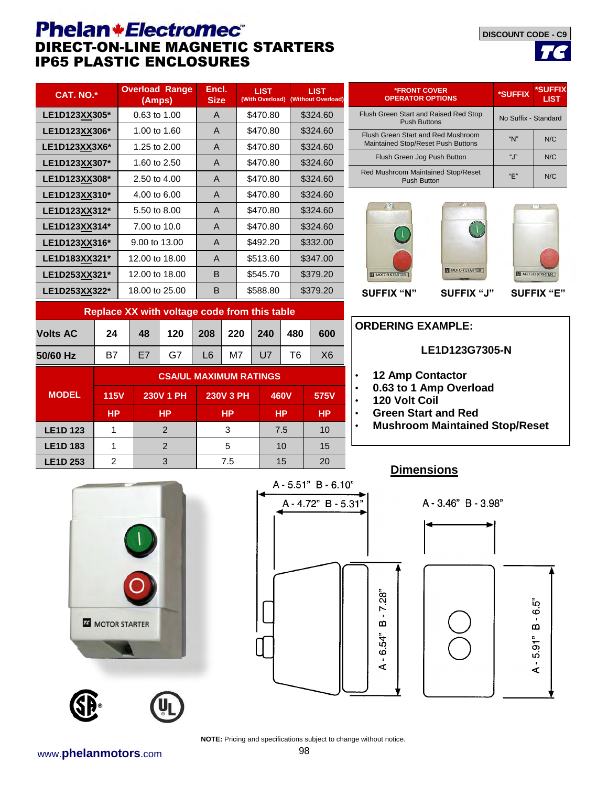## **Phelan+Electromec** DIRECT-ON-LINE MAGNETIC STARTERS **IP65 PLASTIC ENCLOSURES**

**LIST** 

| <b>*FRONT COVER</b><br><b>OPERATOR OPTIONS</b> | *SUFFIX | *SUFFIX<br><b>LIST</b> |  |
|------------------------------------------------|---------|------------------------|--|

**DISCOUNT CODE - C9**

| \$470.80<br>\$324.60<br>LE1D123XX305*<br>0.63 to 1.00<br>A<br>\$470.80<br>\$324.60<br>LE1D123XX306*<br>1.00 to 1.60<br>A<br>\$470.80<br>\$324.60<br>1.25 to 2.00<br>A<br>LE1D123XX3X6*<br>\$470.80<br>\$324.60<br>1.60 to 2.50<br>A<br>LE1D123XX307*<br>\$470.80<br>\$324.60<br>2.50 to 4.00<br>A<br>LE1D123XX308*<br>\$470.80<br>\$324.60<br>4.00 to 6.00<br>LE1D123XX310*<br>A<br>\$470.80<br>5.50 to 8.00<br>\$324.60<br>A<br>LE1D123XX312*<br>\$470.80<br>\$324.60<br>7.00 to 10.0<br>$\mathsf{A}$<br>LE1D123XX314*<br>\$332.00<br>LE1D123XX316*<br>9.00 to 13.00<br>A<br>\$492.20<br>\$513.60<br>\$347.00<br>12,00 to 18,00<br>LE1D183XX321*<br>A<br>\$379.20<br>B<br>\$545.70<br>12,00 to 18,00<br>LE1D253XX321*<br>LE1D253XX322*<br>B<br>18,00 to 25,00<br>\$588.80<br>\$379.20<br>Replace XX with voltage code from this table<br><b>Volts AC</b><br>48<br>120<br>220<br>480<br>24<br>208<br>240<br>600 | CAT. NO.* |  |  | <b>Overload Range</b><br>(Amps) |  | Encl.<br><b>Size</b> |  |  | <b>LIST</b><br>(With Overload) |  | <b>LIST</b><br>(Without Overload) |                |  |
|-----------------------------------------------------------------------------------------------------------------------------------------------------------------------------------------------------------------------------------------------------------------------------------------------------------------------------------------------------------------------------------------------------------------------------------------------------------------------------------------------------------------------------------------------------------------------------------------------------------------------------------------------------------------------------------------------------------------------------------------------------------------------------------------------------------------------------------------------------------------------------------------------------------------|-----------|--|--|---------------------------------|--|----------------------|--|--|--------------------------------|--|-----------------------------------|----------------|--|
|                                                                                                                                                                                                                                                                                                                                                                                                                                                                                                                                                                                                                                                                                                                                                                                                                                                                                                                 |           |  |  |                                 |  |                      |  |  |                                |  |                                   |                |  |
|                                                                                                                                                                                                                                                                                                                                                                                                                                                                                                                                                                                                                                                                                                                                                                                                                                                                                                                 |           |  |  |                                 |  |                      |  |  |                                |  |                                   |                |  |
|                                                                                                                                                                                                                                                                                                                                                                                                                                                                                                                                                                                                                                                                                                                                                                                                                                                                                                                 |           |  |  |                                 |  |                      |  |  |                                |  |                                   |                |  |
|                                                                                                                                                                                                                                                                                                                                                                                                                                                                                                                                                                                                                                                                                                                                                                                                                                                                                                                 |           |  |  |                                 |  |                      |  |  |                                |  |                                   |                |  |
|                                                                                                                                                                                                                                                                                                                                                                                                                                                                                                                                                                                                                                                                                                                                                                                                                                                                                                                 |           |  |  |                                 |  |                      |  |  |                                |  |                                   | R              |  |
|                                                                                                                                                                                                                                                                                                                                                                                                                                                                                                                                                                                                                                                                                                                                                                                                                                                                                                                 |           |  |  |                                 |  |                      |  |  |                                |  |                                   |                |  |
|                                                                                                                                                                                                                                                                                                                                                                                                                                                                                                                                                                                                                                                                                                                                                                                                                                                                                                                 |           |  |  |                                 |  |                      |  |  |                                |  |                                   |                |  |
|                                                                                                                                                                                                                                                                                                                                                                                                                                                                                                                                                                                                                                                                                                                                                                                                                                                                                                                 |           |  |  |                                 |  |                      |  |  |                                |  |                                   |                |  |
|                                                                                                                                                                                                                                                                                                                                                                                                                                                                                                                                                                                                                                                                                                                                                                                                                                                                                                                 |           |  |  |                                 |  |                      |  |  |                                |  |                                   |                |  |
|                                                                                                                                                                                                                                                                                                                                                                                                                                                                                                                                                                                                                                                                                                                                                                                                                                                                                                                 |           |  |  |                                 |  |                      |  |  |                                |  |                                   |                |  |
|                                                                                                                                                                                                                                                                                                                                                                                                                                                                                                                                                                                                                                                                                                                                                                                                                                                                                                                 |           |  |  |                                 |  |                      |  |  |                                |  |                                   |                |  |
|                                                                                                                                                                                                                                                                                                                                                                                                                                                                                                                                                                                                                                                                                                                                                                                                                                                                                                                 |           |  |  |                                 |  |                      |  |  |                                |  |                                   |                |  |
|                                                                                                                                                                                                                                                                                                                                                                                                                                                                                                                                                                                                                                                                                                                                                                                                                                                                                                                 |           |  |  |                                 |  |                      |  |  |                                |  |                                   |                |  |
|                                                                                                                                                                                                                                                                                                                                                                                                                                                                                                                                                                                                                                                                                                                                                                                                                                                                                                                 |           |  |  |                                 |  |                      |  |  |                                |  |                                   | O <sub>1</sub> |  |

**50/60 Hz** | B7 | E7 | G7 | L6 | M7 | U7 | T6 | X6

**LE1D 123** 1 2 3 7.5 10 **LE1D 183** 1 1 2 1 5 10 15 **LE1D 253** 2 3 7.5 15 20

**CSA/UL MAXIMUM RATINGS 115V 230V 1 PH 230V 3 PH 460V 575V**

**HP HP HP HP HP**

| <b>OPERATOR OPTIONS</b>                                                  | ≏SUFFIX.             | <b>LIST</b> |
|--------------------------------------------------------------------------|----------------------|-------------|
| Flush Green Start and Raised Red Stop<br><b>Push Buttons</b>             | No Suffix - Standard |             |
| Flush Green Start and Red Mushroom<br>Maintained Stop/Reset Push Buttons | " $N$ "              | N/C         |
| Flush Green Jog Push Button                                              | " $\cdot$ "          | N/C         |
| <b>Red Mushroom Maintained Stop/Reset</b><br><b>Push Button</b>          | "F"                  | N/C         |







### **SUFFIX "N" SUFFIX "J" SUFFIX "E"**

# **ORDERING EXAMPLE:**

**LIST** 

- **12 Amp Contactor**
- **0.63 to 1 Amp Overload**
- **120 Volt Coil**
- **Green Start and Red**
- **Mushroom Maintained Stop/Reset**

### **Dimensions**



**ZE MOTOR STARTER** 

**MODEL** 



**NOTE:** Pricing and specifications subject to change without notice.

www.**phelanmotors**.com 98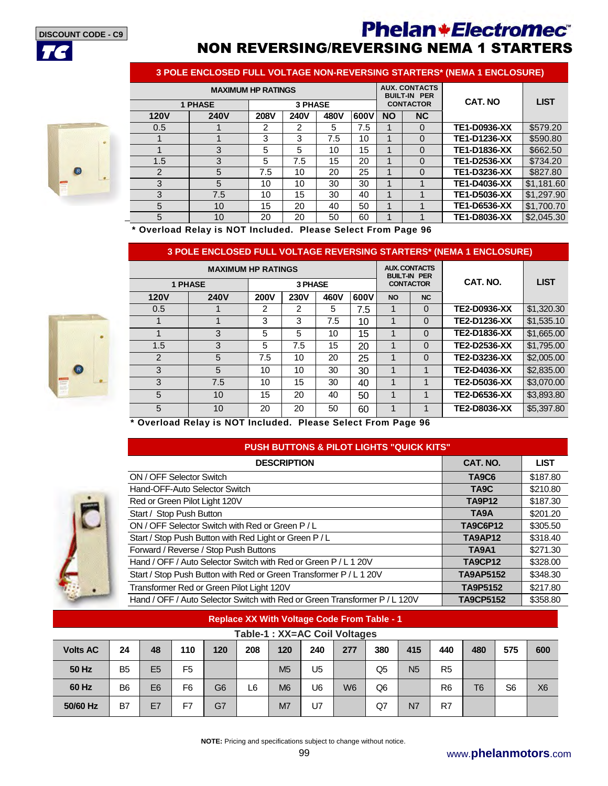**DISCOUNT CODE - C9**





| 3 POLE ENCLOSED FULL VOLTAGE NON-REVERSING STARTERS* (NEMA 1 ENCLOSURE) |                           |               |                                             |      |      |           |                  |                     |             |  |  |
|-------------------------------------------------------------------------|---------------------------|---------------|---------------------------------------------|------|------|-----------|------------------|---------------------|-------------|--|--|
|                                                                         | <b>MAXIMUM HP RATINGS</b> |               | <b>AUX. CONTACTS</b><br><b>BUILT-IN PER</b> |      |      |           |                  |                     |             |  |  |
|                                                                         | <b>1 PHASE</b>            |               | <b>3 PHASE</b>                              |      |      |           | <b>CONTACTOR</b> | <b>CAT. NO</b>      | <b>LIST</b> |  |  |
| <b>120V</b>                                                             | <b>240V</b>               | <b>208V</b>   | <b>240V</b>                                 | 480V | 600V | <b>NO</b> | NC               |                     |             |  |  |
| 0.5                                                                     |                           | $\mathcal{P}$ | 2                                           | 5    | 7.5  | 1         | $\Omega$         | <b>TE1-D0936-XX</b> | \$579.20    |  |  |
|                                                                         |                           | 3             | 3                                           | 7.5  | 10   | 1         | $\Omega$         | TE1-D1236-XX        | \$590.80    |  |  |
|                                                                         | 3                         | 5             | 5                                           | 10   | 15   | 1         | $\Omega$         | <b>TE1-D1836-XX</b> | \$662.50    |  |  |
| 1.5                                                                     | 3                         | 5             | 7.5                                         | 15   | 20   | 1         | $\Omega$         | <b>TE1-D2536-XX</b> | \$734.20    |  |  |
| 2                                                                       | 5                         | 7.5           | 10                                          | 20   | 25   | 1         | $\Omega$         | TE1-D3236-XX        | \$827.80    |  |  |
| 3                                                                       | 5                         | 10            | 10                                          | 30   | 30   | 1         |                  | TE1-D4036-XX        | \$1,181.60  |  |  |
| 3                                                                       | 7.5                       | 10            | 15                                          | 30   | 40   | 1         |                  | TE1-D5036-XX        | \$1,297.90  |  |  |
| 5                                                                       | 10                        | 15            | 20                                          | 40   | 50   | 1         |                  | <b>TE1-D6536-XX</b> | \$1,700.70  |  |  |
| 5                                                                       | 10                        | 20            | 20                                          | 50   | 60   |           |                  | <b>TE1-D8036-XX</b> | \$2,045.30  |  |  |

**\* Overload Relay is NOT Included. Please Select From Page 96** 

### **3 POLE ENCLOSED FULL VOLTAGE REVERSING STARTERS\* (NEMA 1 ENCLOSURE)**



|                | <b>MAXIMUM HP RATINGS</b> |             |             | <b>AUX. CONTACTS</b><br><b>BUILT-IN PER</b> |      |                  |           |                     |             |
|----------------|---------------------------|-------------|-------------|---------------------------------------------|------|------------------|-----------|---------------------|-------------|
| <b>1 PHASE</b> |                           |             | 3 PHASE     |                                             |      | <b>CONTACTOR</b> |           | CAT. NO.            | <b>LIST</b> |
| <b>120V</b>    | <b>240V</b>               | <b>200V</b> | <b>230V</b> | 460V                                        | 600V | <b>NO</b>        | <b>NC</b> |                     |             |
| 0.5            |                           | 2           | 2           | 5                                           | 7.5  |                  | 0         | <b>TE2-D0936-XX</b> | \$1,320.30  |
|                |                           | 3           | 3           | 7.5                                         | 10   | 1                | 0         | <b>TE2-D1236-XX</b> | \$1,535.10  |
|                | 3                         | 5           | 5           | 10                                          | 15   | 1                | 0         | <b>TE2-D1836-XX</b> | \$1,665.00  |
| 1.5            | 3                         | 5           | 7.5         | 15                                          | 20   |                  | $\Omega$  | <b>TE2-D2536-XX</b> | \$1,795.00  |
| 2              | 5                         | 7.5         | 10          | 20                                          | 25   | 1                | 0         | <b>TE2-D3236-XX</b> | \$2,005,00  |
| 3              | 5                         | 10          | 10          | 30                                          | 30   | 1                |           | TE2-D4036-XX        | \$2,835.00  |
| 3              | 7.5                       | 10          | 15          | 30                                          | 40   | 1                |           | <b>TE2-D5036-XX</b> | \$3,070.00  |
| 5              | 10                        | 15          | 20          | 40                                          | 50   | 1                |           | <b>TE2-D6536-XX</b> | \$3,893.80  |
| 5              | 10                        | 20          | 20          | 50                                          | 60   | ◢                |           | <b>TE2-D8036-XX</b> | \$5,397.80  |

**\* Overload Relay is NOT Included. Please Select From Page 96** 

## **PUSH BUTTONS & PILOT LIGHTS "QUICK KITS"**



| <b>DESCRIPTION</b>                                                         | CAT. NO.          | <b>LIST</b> |
|----------------------------------------------------------------------------|-------------------|-------------|
| ON / OFF Selector Switch                                                   | <b>TA9C6</b>      | \$187.80    |
| Hand-OFF-Auto Selector Switch                                              | TA <sub>9</sub> C | \$210.80    |
| Red or Green Pilot Light 120V                                              | <b>TA9P12</b>     | \$187.30    |
| Start / Stop Push Button                                                   | TA9A              | \$201.20    |
| ON / OFF Selector Switch with Red or Green P/L                             | <b>TA9C6P12</b>   | \$305.50    |
| Start / Stop Push Button with Red Light or Green P/L                       | <b>TA9AP12</b>    | \$318.40    |
| Forward / Reverse / Stop Push Buttons                                      | <b>TA9A1</b>      | \$271.30    |
| Hand / OFF / Auto Selector Switch with Red or Green P / L 1 20V            | <b>TA9CP12</b>    | \$328.00    |
| Start / Stop Push Button with Red or Green Transformer P / L 1 20V         | <b>TA9AP5152</b>  | \$348.30    |
| Transformer Red or Green Pilot Light 120V                                  | <b>TA9P5152</b>   | \$217.80    |
| Hand / OFF / Auto Selector Switch with Red or Green Transformer P / L 120V | <b>TA9CP5152</b>  | \$358.80    |

### **Replace XX With Voltage Code From Table - 1**

|                 | Table-1 : XX=AC Coil Voltages |                |                |                |     |                |     |                |                |                |                |                |                |                |
|-----------------|-------------------------------|----------------|----------------|----------------|-----|----------------|-----|----------------|----------------|----------------|----------------|----------------|----------------|----------------|
| <b>Volts AC</b> | 24                            | 48             | 110            | 120            | 208 | 120            | 240 | 277            | 380            | 415            | 440            | 480            | 575            | 600            |
| 50 Hz           | B <sub>5</sub>                | E <sub>5</sub> | F <sub>5</sub> |                |     | M <sub>5</sub> | U5  |                | Q <sub>5</sub> | N <sub>5</sub> | R <sub>5</sub> |                |                |                |
| 60 Hz           | B <sub>6</sub>                | E <sub>6</sub> | F <sub>6</sub> | G <sub>6</sub> | L6  | M <sub>6</sub> | U6  | W <sub>6</sub> | Q <sub>6</sub> |                | R <sub>6</sub> | T <sub>6</sub> | S <sub>6</sub> | X <sub>6</sub> |
| 50/60 Hz        | B7                            | E7             | F7             | G7             |     | M7             | U7  |                | Q7             | N7             | R7             |                |                |                |

**NOTE:** Pricing and specifications subject to change without notice.